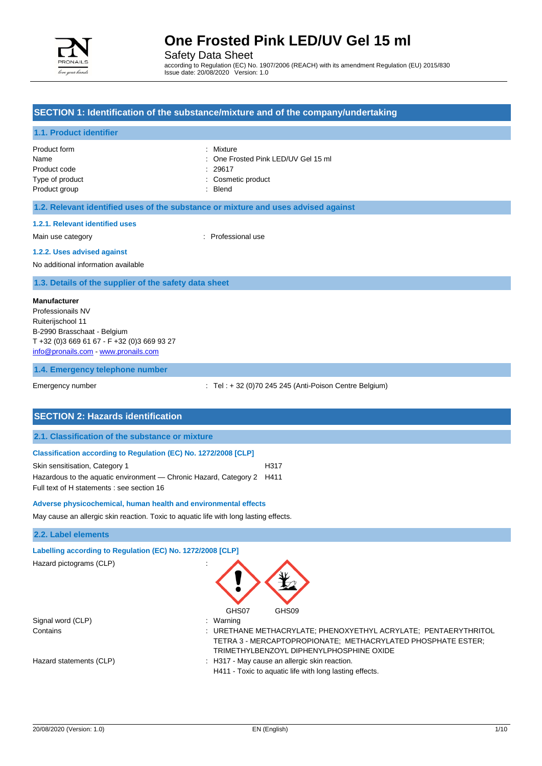

Safety Data Sheet

according to Regulation (EC) No. 1907/2006 (REACH) with its amendment Regulation (EU) 2015/830 Issue date: 20/08/2020 Version: 1.0

## **SECTION 1: Identification of the substance/mixture and of the company/undertaking**

#### **1.1. Product identifier**

| Product form    | : Mixture                           |
|-----------------|-------------------------------------|
| Name            | : One Frosted Pink LED/UV Gel 15 ml |
| Product code    | : 29617                             |
| Type of product | : Cosmetic product                  |
| Product group   | : Blend                             |

#### **1.2. Relevant identified uses of the substance or mixture and uses advised against**

#### **1.2.1. Relevant identified uses**

Main use category **Example 20** and 20 and 20 and 20 and 20 and 20 and 20 and 20 and 20 and 20 and 20 and 20 and 20 and 20 and 20 and 20 and 20 and 20 and 20 and 20 and 20 and 20 and 20 and 20 and 20 and 20 and 20 and 20 an

### **1.2.2. Uses advised against**

No additional information available

#### **1.3. Details of the supplier of the safety data sheet**

#### **Manufacturer**

Professionails NV Ruiterijschool 11 B-2990 Brasschaat - Belgium T +32 (0)3 669 61 67 - F +32 (0)3 669 93 27 [info@pronails.com](mailto:info@pronails.com) - <www.pronails.com>

#### **1.4. Emergency telephone number**

Emergency number : Tel : + 32 (0)70 245 245 (Anti-Poison Centre Belgium)

### **SECTION 2: Hazards identification**

#### **2.1. Classification of the substance or mixture**

#### **Classification according to Regulation (EC) No. 1272/2008 [CLP]**

| Skin sensitisation, Category 1                                         | H317 |
|------------------------------------------------------------------------|------|
| Hazardous to the aquatic environment — Chronic Hazard, Category 2 H411 |      |
| Full text of H statements : see section 16                             |      |

#### **Adverse physicochemical, human health and environmental effects**

May cause an allergic skin reaction. Toxic to aquatic life with long lasting effects.

#### **2.2. Label elements**

# **Labelling according to Regulation (EC) No. 1272/2008 [CLP]**

Hazard pictograms (CLP) :



| Signal word (CLP)       | : Warning                                                       |
|-------------------------|-----------------------------------------------------------------|
| Contains                | : URETHANE METHACRYLATE; PHENOXYETHYL ACRYLATE; PENTAERYTHRITOL |
|                         | TETRA 3 - MERCAPTOPROPIONATE; METHACRYLATED PHOSPHATE ESTER;    |
|                         | TRIMETHYLBENZOYL DIPHENYLPHOSPHINE OXIDE                        |
| Hazard statements (CLP) | : H317 - May cause an allergic skin reaction.                   |
|                         | LIAAA Tovio to countie life with long looting offects           |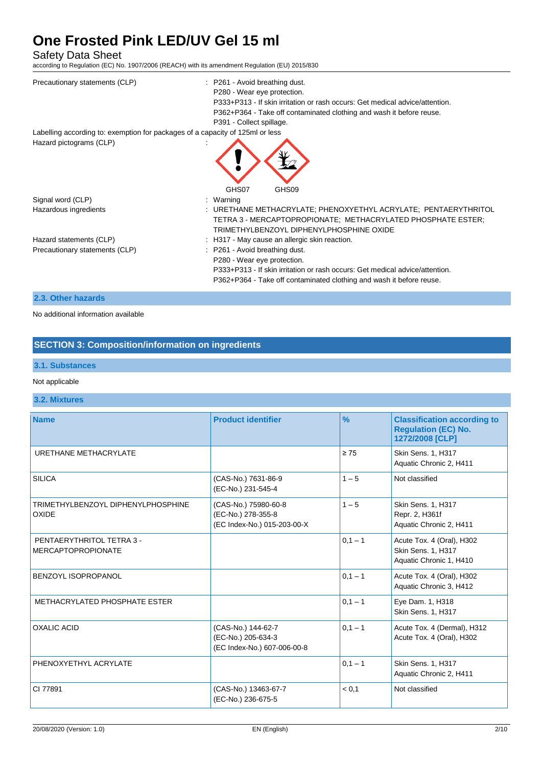Safety Data Sheet

according to Regulation (EC) No. 1907/2006 (REACH) with its amendment Regulation (EU) 2015/830

| Precautionary statements (CLP)                                                | : P261 - Avoid breathing dust.                                                                                                                                              |
|-------------------------------------------------------------------------------|-----------------------------------------------------------------------------------------------------------------------------------------------------------------------------|
|                                                                               | P280 - Wear eye protection.                                                                                                                                                 |
|                                                                               | P333+P313 - If skin irritation or rash occurs: Get medical advice/attention.                                                                                                |
|                                                                               | P362+P364 - Take off contaminated clothing and wash it before reuse.                                                                                                        |
|                                                                               | P391 - Collect spillage.                                                                                                                                                    |
| Labelling according to: exemption for packages of a capacity of 125ml or less |                                                                                                                                                                             |
| Hazard pictograms (CLP)                                                       |                                                                                                                                                                             |
|                                                                               | GHS07<br>GHS09                                                                                                                                                              |
| Signal word (CLP)                                                             | : Warning                                                                                                                                                                   |
| Hazardous ingredients                                                         | : URETHANE METHACRYLATE: PHENOXYETHYL ACRYLATE: PENTAERYTHRITOL<br>TETRA 3 - MERCAPTOPROPIONATE; METHACRYLATED PHOSPHATE ESTER;<br>TRIMETHYLBENZOYL DIPHENYLPHOSPHINE OXIDE |
| Hazard statements (CLP)                                                       | : H317 - May cause an allergic skin reaction.                                                                                                                               |
| Precautionary statements (CLP)                                                | : P261 - Avoid breathing dust.<br>P280 - Wear eye protection.<br>P333+P313 - If skin irritation or rash occurs: Get medical advice/attention.                               |
|                                                                               | P362+P364 - Take off contaminated clothing and wash it before reuse.                                                                                                        |

### **2.3. Other hazards**

No additional information available

## **SECTION 3: Composition/information on ingredients**

## **3.1. Substances**

### Not applicable

## **3.2. Mixtures**

| <b>Name</b>                                            | <b>Product identifier</b>                                                 | $\frac{9}{6}$ | <b>Classification according to</b><br><b>Regulation (EC) No.</b><br>1272/2008 [CLP] |
|--------------------------------------------------------|---------------------------------------------------------------------------|---------------|-------------------------------------------------------------------------------------|
| URETHANE METHACRYLATE                                  |                                                                           | $\geq 75$     | Skin Sens. 1, H317<br>Aquatic Chronic 2, H411                                       |
| <b>SILICA</b>                                          | (CAS-No.) 7631-86-9<br>(EC-No.) 231-545-4                                 | $1 - 5$       | Not classified                                                                      |
| TRIMETHYLBENZOYL DIPHENYLPHOSPHINE<br><b>OXIDE</b>     | (CAS-No.) 75980-60-8<br>(EC-No.) 278-355-8<br>(EC Index-No.) 015-203-00-X | $1 - 5$       | Skin Sens. 1, H317<br>Repr. 2, H361f<br>Aquatic Chronic 2, H411                     |
| PENTAERYTHRITOL TETRA 3 -<br><b>MERCAPTOPROPIONATE</b> |                                                                           | $0,1 - 1$     | Acute Tox. 4 (Oral), H302<br>Skin Sens. 1, H317<br>Aquatic Chronic 1, H410          |
| <b>BENZOYL ISOPROPANOL</b>                             |                                                                           | $0,1 - 1$     | Acute Tox. 4 (Oral), H302<br>Aquatic Chronic 3, H412                                |
| METHACRYLATED PHOSPHATE ESTER                          |                                                                           | $0.1 - 1$     | Eye Dam. 1, H318<br>Skin Sens. 1, H317                                              |
| <b>OXALIC ACID</b>                                     | (CAS-No.) 144-62-7<br>(EC-No.) 205-634-3<br>(EC Index-No.) 607-006-00-8   | $0,1 - 1$     | Acute Tox. 4 (Dermal), H312<br>Acute Tox. 4 (Oral), H302                            |
| PHENOXYETHYL ACRYLATE                                  |                                                                           | $0,1 - 1$     | Skin Sens. 1, H317<br>Aquatic Chronic 2, H411                                       |
| CI 77891                                               | (CAS-No.) 13463-67-7<br>(EC-No.) 236-675-5                                | < 0.1         | Not classified                                                                      |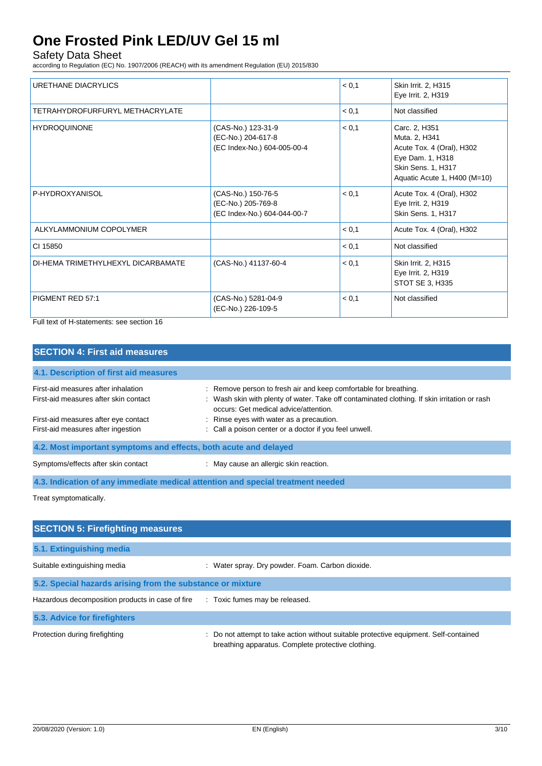Safety Data Sheet

according to Regulation (EC) No. 1907/2006 (REACH) with its amendment Regulation (EU) 2015/830

| URETHANE DIACRYLICS                |                                                                         | < 0.1 | Skin Irrit. 2, H315<br>Eye Irrit. 2, H319                                                                                             |
|------------------------------------|-------------------------------------------------------------------------|-------|---------------------------------------------------------------------------------------------------------------------------------------|
| TETRAHYDROFURFURYL METHACRYLATE    |                                                                         | < 0.1 | Not classified                                                                                                                        |
| <b>HYDROQUINONE</b>                | (CAS-No.) 123-31-9<br>(EC-No.) 204-617-8<br>(EC Index-No.) 604-005-00-4 | < 0.1 | Carc. 2, H351<br>Muta. 2, H341<br>Acute Tox. 4 (Oral), H302<br>Eye Dam. 1, H318<br>Skin Sens. 1, H317<br>Aquatic Acute 1, H400 (M=10) |
| P-HYDROXYANISOL                    | (CAS-No.) 150-76-5<br>(EC-No.) 205-769-8<br>(EC Index-No.) 604-044-00-7 | < 0,1 | Acute Tox. 4 (Oral), H302<br>Eye Irrit. 2, H319<br>Skin Sens. 1, H317                                                                 |
| ALKYLAMMONIUM COPOLYMER            |                                                                         | < 0.1 | Acute Tox. 4 (Oral), H302                                                                                                             |
| CI 15850                           |                                                                         | < 0.1 | Not classified                                                                                                                        |
| DI-HEMA TRIMETHYLHEXYL DICARBAMATE | (CAS-No.) 41137-60-4                                                    | < 0.1 | Skin Irrit. 2, H315<br>Eye Irrit. 2, H319<br>STOT SE 3, H335                                                                          |
| PIGMENT RED 57:1                   | (CAS-No.) 5281-04-9<br>(EC-No.) 226-109-5                               | < 0,1 | Not classified                                                                                                                        |

Full text of H-statements: see section 16

| <b>SECTION 4: First aid measures</b>                                            |                                                                                                                                                                                                           |  |  |
|---------------------------------------------------------------------------------|-----------------------------------------------------------------------------------------------------------------------------------------------------------------------------------------------------------|--|--|
| 4.1. Description of first aid measures                                          |                                                                                                                                                                                                           |  |  |
| First-aid measures after inhalation<br>First-aid measures after skin contact    | : Remove person to fresh air and keep comfortable for breathing.<br>: Wash skin with plenty of water. Take off contaminated clothing. If skin irritation or rash<br>occurs: Get medical advice/attention. |  |  |
| First-aid measures after eye contact<br>First-aid measures after ingestion      | : Rinse eyes with water as a precaution.<br>: Call a poison center or a doctor if you feel unwell.                                                                                                        |  |  |
| 4.2. Most important symptoms and effects, both acute and delayed                |                                                                                                                                                                                                           |  |  |
| Symptoms/effects after skin contact                                             | : May cause an allergic skin reaction.                                                                                                                                                                    |  |  |
| 4.3. Indication of any immediate medical attention and special treatment needed |                                                                                                                                                                                                           |  |  |
| Treat symptomatically.                                                          |                                                                                                                                                                                                           |  |  |

| <b>SECTION 5: Firefighting measures</b>                    |                                                                                                                                             |  |  |
|------------------------------------------------------------|---------------------------------------------------------------------------------------------------------------------------------------------|--|--|
| 5.1. Extinguishing media                                   |                                                                                                                                             |  |  |
| Suitable extinguishing media                               | : Water spray. Dry powder. Foam. Carbon dioxide.                                                                                            |  |  |
| 5.2. Special hazards arising from the substance or mixture |                                                                                                                                             |  |  |
| Hazardous decomposition products in case of fire           | : Toxic fumes may be released.                                                                                                              |  |  |
| 5.3. Advice for firefighters                               |                                                                                                                                             |  |  |
| Protection during firefighting                             | : Do not attempt to take action without suitable protective equipment. Self-contained<br>breathing apparatus. Complete protective clothing. |  |  |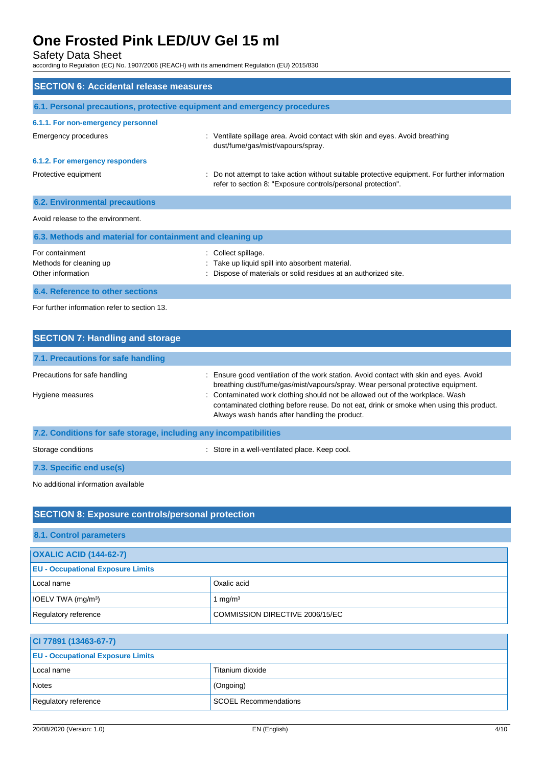Safety Data Sheet

according to Regulation (EC) No. 1907/2006 (REACH) with its amendment Regulation (EU) 2015/830

| <b>SECTION 6: Accidental release measures</b>                            |                                                                                                                                                              |  |
|--------------------------------------------------------------------------|--------------------------------------------------------------------------------------------------------------------------------------------------------------|--|
| 6.1. Personal precautions, protective equipment and emergency procedures |                                                                                                                                                              |  |
| 6.1.1. For non-emergency personnel                                       |                                                                                                                                                              |  |
| Emergency procedures                                                     | : Ventilate spillage area. Avoid contact with skin and eyes. Avoid breathing<br>dust/fume/gas/mist/vapours/spray.                                            |  |
| 6.1.2. For emergency responders                                          |                                                                                                                                                              |  |
| Protective equipment                                                     | Do not attempt to take action without suitable protective equipment. For further information<br>refer to section 8: "Exposure controls/personal protection". |  |
| <b>6.2. Environmental precautions</b>                                    |                                                                                                                                                              |  |
| Avoid release to the environment.                                        |                                                                                                                                                              |  |
| 6.3. Methods and material for containment and cleaning up                |                                                                                                                                                              |  |
| For containment<br>Methods for cleaning up<br>Other information          | Collect spillage.<br>Take up liquid spill into absorbent material.<br>Dispose of materials or solid residues at an authorized site.                          |  |
| 6.4. Reference to other sections                                         |                                                                                                                                                              |  |

For further information refer to section 13.

| <b>SECTION 7: Handling and storage</b>                            |                                                                                                                                                                                                                           |  |  |
|-------------------------------------------------------------------|---------------------------------------------------------------------------------------------------------------------------------------------------------------------------------------------------------------------------|--|--|
| 7.1. Precautions for safe handling                                |                                                                                                                                                                                                                           |  |  |
| Precautions for safe handling                                     | : Ensure good ventilation of the work station. Avoid contact with skin and eyes. Avoid<br>breathing dust/fume/gas/mist/vapours/spray. Wear personal protective equipment.                                                 |  |  |
| Hygiene measures                                                  | : Contaminated work clothing should not be allowed out of the workplace. Wash<br>contaminated clothing before reuse. Do not eat, drink or smoke when using this product.<br>Always wash hands after handling the product. |  |  |
| 7.2. Conditions for safe storage, including any incompatibilities |                                                                                                                                                                                                                           |  |  |
| Storage conditions                                                | : Store in a well-ventilated place. Keep cool.                                                                                                                                                                            |  |  |
| 7.3. Specific end use(s)                                          |                                                                                                                                                                                                                           |  |  |

No additional information available

| <b>SECTION 8: Exposure controls/personal protection</b> |                                 |  |
|---------------------------------------------------------|---------------------------------|--|
| 8.1. Control parameters                                 |                                 |  |
| <b>OXALIC ACID (144-62-7)</b>                           |                                 |  |
| <b>EU - Occupational Exposure Limits</b>                |                                 |  |
| Local name                                              | Oxalic acid                     |  |
| IOELV TWA (mg/m <sup>3</sup> )                          | mg/m <sup>3</sup>               |  |
| Regulatory reference                                    | COMMISSION DIRECTIVE 2006/15/EC |  |

| CI 77891 (13463-67-7)                    |                              |  |
|------------------------------------------|------------------------------|--|
| <b>EU - Occupational Exposure Limits</b> |                              |  |
| Local name                               | Titanium dioxide             |  |
| Notes                                    | (Ongoing)                    |  |
| Regulatory reference                     | <b>SCOEL Recommendations</b> |  |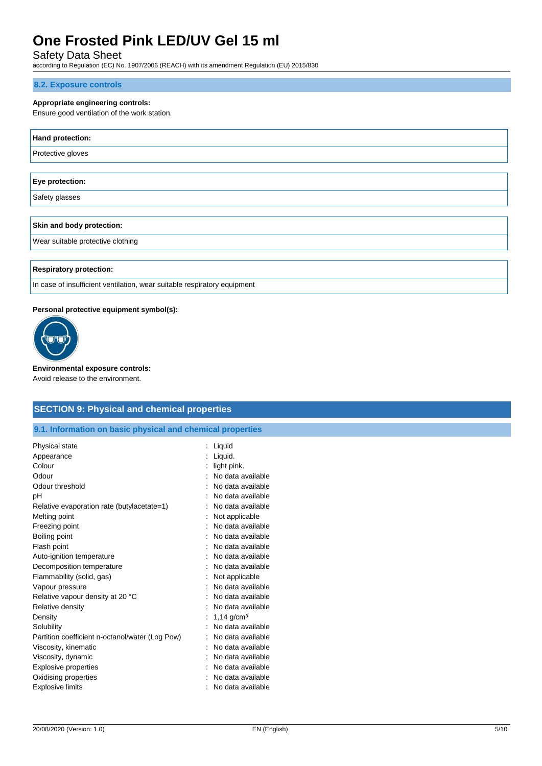## Safety Data Sheet

according to Regulation (EC) No. 1907/2006 (REACH) with its amendment Regulation (EU) 2015/830

#### **8.2. Exposure controls**

### **Appropriate engineering controls:**

Ensure good ventilation of the work station.

| Hand protection:                  |
|-----------------------------------|
| Protective gloves                 |
|                                   |
| Eye protection:                   |
| Safety glasses                    |
|                                   |
| Skin and body protection:         |
| Wear suitable protective clothing |
|                                   |
| <b>Respiratory protection:</b>    |

In case of insufficient ventilation, wear suitable respiratory equipment

#### **Personal protective equipment symbol(s):**



**Environmental exposure controls:**

## Avoid release to the environment.

## **SECTION 9: Physical and chemical properties**

**9.1. Information on basic physical and chemical properties**

| Liquid                   |
|--------------------------|
| Liquid.                  |
| light pink.              |
| No data available        |
| No data available        |
| No data available        |
| No data available        |
| Not applicable           |
| No data available        |
| No data available        |
| No data available        |
| No data available        |
| No data available        |
| Not applicable           |
| No data available        |
| No data available        |
| No data available        |
| $1,14$ g/cm <sup>3</sup> |
| No data available        |
| No data available        |
| No data available        |
| No data available        |
| No data available        |
| No data available        |
| No data available        |
|                          |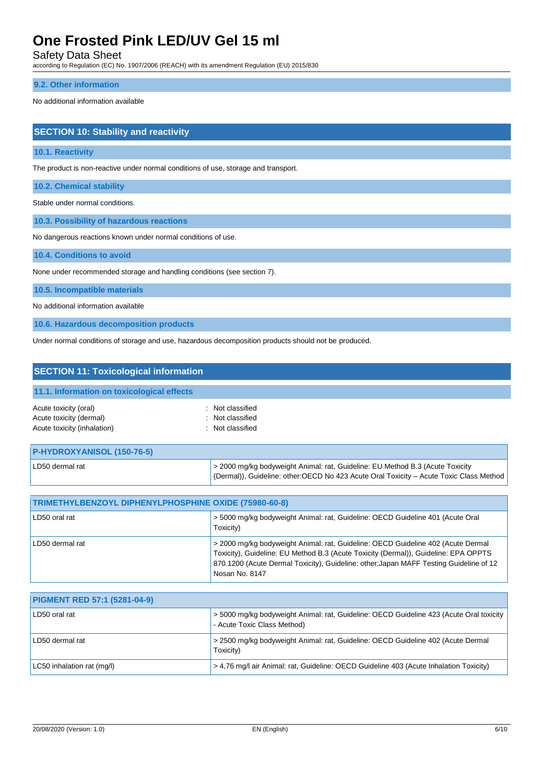Safety Data Sheet

according to Regulation (EC) No. 1907/2006 (REACH) with its amendment Regulation (EU) 2015/830

#### **9.2. Other information**

No additional information available

## **SECTION 10: Stability and reactivity**

#### **10.1. Reactivity**

The product is non-reactive under normal conditions of use, storage and transport.

**10.2. Chemical stability**

Stable under normal conditions.

**10.3. Possibility of hazardous reactions**

No dangerous reactions known under normal conditions of use.

**10.4. Conditions to avoid**

None under recommended storage and handling conditions (see section 7).

**10.5. Incompatible materials**

No additional information available

**10.6. Hazardous decomposition products**

Under normal conditions of storage and use, hazardous decomposition products should not be produced.

| <b>SECTION 11: Toxicological information</b>                                    |                                                                                                                                                                                                                                                                                     |  |  |
|---------------------------------------------------------------------------------|-------------------------------------------------------------------------------------------------------------------------------------------------------------------------------------------------------------------------------------------------------------------------------------|--|--|
| 11.1. Information on toxicological effects                                      |                                                                                                                                                                                                                                                                                     |  |  |
| Acute toxicity (oral)<br>Acute toxicity (dermal)<br>Acute toxicity (inhalation) | Not classified<br>Not classified<br>Not classified                                                                                                                                                                                                                                  |  |  |
| P-HYDROXYANISOL (150-76-5)                                                      |                                                                                                                                                                                                                                                                                     |  |  |
| LD50 dermal rat                                                                 | > 2000 mg/kg bodyweight Animal: rat, Guideline: EU Method B.3 (Acute Toxicity<br>(Dermal)), Guideline: other:OECD No 423 Acute Oral Toxicity - Acute Toxic Class Method                                                                                                             |  |  |
|                                                                                 |                                                                                                                                                                                                                                                                                     |  |  |
| TRIMETHYLBENZOYL DIPHENYLPHOSPHINE OXIDE (75980-60-8)                           |                                                                                                                                                                                                                                                                                     |  |  |
| LD50 oral rat                                                                   | > 5000 mg/kg bodyweight Animal: rat, Guideline: OECD Guideline 401 (Acute Oral<br>Toxicity)                                                                                                                                                                                         |  |  |
| LD50 dermal rat                                                                 | > 2000 mg/kg bodyweight Animal: rat, Guideline: OECD Guideline 402 (Acute Dermal<br>Toxicity), Guideline: EU Method B.3 (Acute Toxicity (Dermal)), Guideline: EPA OPPTS<br>870.1200 (Acute Dermal Toxicity), Guideline: other: Japan MAFF Testing Guideline of 12<br>Nosan No. 8147 |  |  |
|                                                                                 |                                                                                                                                                                                                                                                                                     |  |  |
| <b>PIGMENT RED 57:1 (5281-04-9)</b>                                             |                                                                                                                                                                                                                                                                                     |  |  |

| <b>PIGMENT RED 57:1 (5281-04-9)</b> |                                                                                                                          |  |
|-------------------------------------|--------------------------------------------------------------------------------------------------------------------------|--|
| LD50 oral rat                       | > 5000 mg/kg bodyweight Animal: rat, Guideline: OECD Guideline 423 (Acute Oral toxicity  <br>- Acute Toxic Class Method) |  |
| LD50 dermal rat                     | > 2500 mg/kg bodyweight Animal: rat, Guideline: OECD Guideline 402 (Acute Dermal<br>Toxicity)                            |  |
| LC50 inhalation rat (mg/l)          | > 4.76 mg/l air Animal: rat, Guideline: OECD Guideline 403 (Acute Inhalation Toxicity)                                   |  |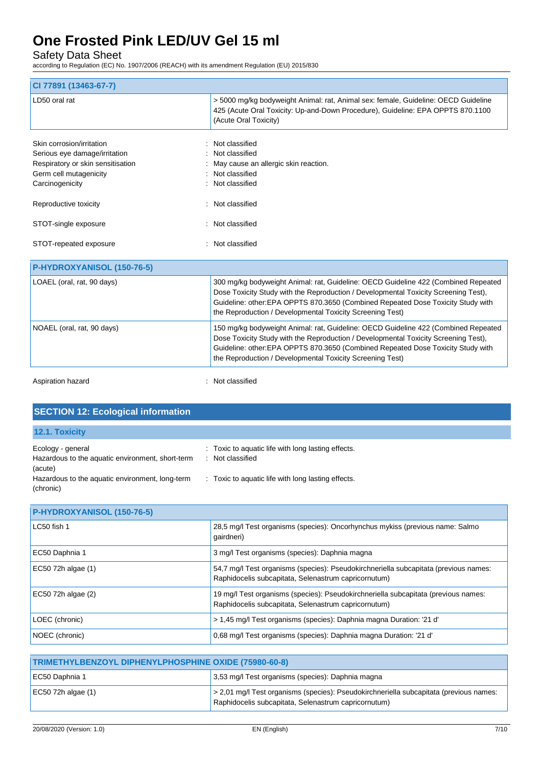Safety Data Sheet

according to Regulation (EC) No. 1907/2006 (REACH) with its amendment Regulation (EU) 2015/830

| CI 77891 (13463-67-7)                                                                           |                                                                                                                                                                                                                                                                                                                           |
|-------------------------------------------------------------------------------------------------|---------------------------------------------------------------------------------------------------------------------------------------------------------------------------------------------------------------------------------------------------------------------------------------------------------------------------|
| LD50 oral rat                                                                                   | > 5000 mg/kg bodyweight Animal: rat, Animal sex: female, Guideline: OECD Guideline<br>425 (Acute Oral Toxicity: Up-and-Down Procedure), Guideline: EPA OPPTS 870.1100<br>(Acute Oral Toxicity)                                                                                                                            |
| Skin corrosion/irritation<br>Serious eye damage/irritation<br>Respiratory or skin sensitisation | Not classified<br>Not classified<br>May cause an allergic skin reaction.                                                                                                                                                                                                                                                  |
| Germ cell mutagenicity<br>Carcinogenicity                                                       | Not classified<br>Not classified                                                                                                                                                                                                                                                                                          |
| Reproductive toxicity                                                                           | Not classified                                                                                                                                                                                                                                                                                                            |
| STOT-single exposure                                                                            | Not classified                                                                                                                                                                                                                                                                                                            |
| STOT-repeated exposure                                                                          | Not classified                                                                                                                                                                                                                                                                                                            |
| P-HYDROXYANISOL (150-76-5)                                                                      |                                                                                                                                                                                                                                                                                                                           |
| LOAEL (oral, rat, 90 days)                                                                      | 300 mg/kg bodyweight Animal: rat, Guideline: OECD Guideline 422 (Combined Repeated<br>Dose Toxicity Study with the Reproduction / Developmental Toxicity Screening Test),<br>Guideline: other:EPA OPPTS 870.3650 (Combined Repeated Dose Toxicity Study with<br>the Reproduction / Developmental Toxicity Screening Test) |
| NOAEL (oral, rat, 90 days)                                                                      | 150 mg/kg bodyweight Animal: rat, Guideline: OECD Guideline 422 (Combined Repeated<br>Dose Toxicity Study with the Reproduction / Developmental Toxicity Screening Test).                                                                                                                                                 |

Aspiration hazard **in the case of the case of the case of the case of the case of the case of the case of the case of the case of the case of the case of the case of the case of the case of the case of the case of the case** 

|  | <b>SECTION 12: Ecological information</b> |
|--|-------------------------------------------|
|  |                                           |
|  |                                           |

| <b>12.1. Toxicity</b>                                                            |                                                                      |
|----------------------------------------------------------------------------------|----------------------------------------------------------------------|
| Ecology - general<br>Hazardous to the aquatic environment, short-term<br>(acute) | : Toxic to aquatic life with long lasting effects.<br>Not classified |
| Hazardous to the aquatic environment, long-term<br>(chronic)                     | : Toxic to aquatic life with long lasting effects.                   |

Guideline: other:EPA OPPTS 870.3650 (Combined Repeated Dose Toxicity Study with

the Reproduction / Developmental Toxicity Screening Test)

| P-HYDROXYANISOL (150-76-5) |                                                                                                                                              |  |
|----------------------------|----------------------------------------------------------------------------------------------------------------------------------------------|--|
| LC50 fish 1                | 28,5 mg/l Test organisms (species): Oncorhynchus mykiss (previous name: Salmo<br>qairdneri)                                                  |  |
| EC50 Daphnia 1             | 3 mg/l Test organisms (species): Daphnia magna                                                                                               |  |
| EC50 72h algae (1)         | 54,7 mg/l Test organisms (species): Pseudokirchneriella subcapitata (previous names:<br>Raphidocelis subcapitata, Selenastrum capricornutum) |  |
| EC50 72h algae (2)         | 19 mg/l Test organisms (species): Pseudokirchneriella subcapitata (previous names:<br>Raphidocelis subcapitata, Selenastrum capricornutum)   |  |
| LOEC (chronic)             | > 1,45 mg/l Test organisms (species): Daphnia magna Duration: '21 d'                                                                         |  |
| NOEC (chronic)             | 0,68 mg/l Test organisms (species): Daphnia magna Duration: '21 d'                                                                           |  |

| TRIMETHYLBENZOYL DIPHENYLPHOSPHINE OXIDE (75980-60-8) |                                                                                                                                                |  |
|-------------------------------------------------------|------------------------------------------------------------------------------------------------------------------------------------------------|--|
| EC50 Daphnia 1                                        | 3,53 mg/l Test organisms (species): Daphnia magna                                                                                              |  |
| EC50 72h algae $(1)$                                  | > 2,01 mg/l Test organisms (species): Pseudokirchneriella subcapitata (previous names:<br>Raphidocelis subcapitata, Selenastrum capricornutum) |  |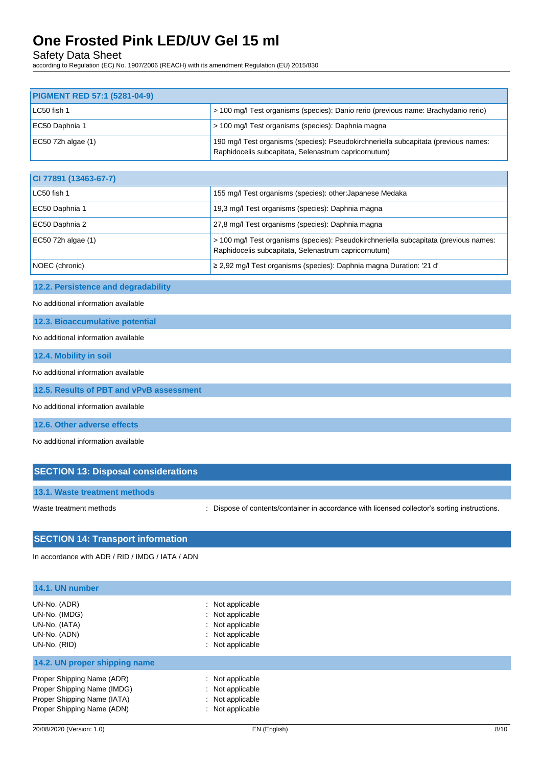Safety Data Sheet

according to Regulation (EC) No. 1907/2006 (REACH) with its amendment Regulation (EU) 2015/830

| <b>PIGMENT RED 57:1 (5281-04-9)</b> |                                                                                                                                             |
|-------------------------------------|---------------------------------------------------------------------------------------------------------------------------------------------|
| LC50 fish 1                         | - 100 mg/l Test organisms (species): Danio rerio (previous name: Brachydanio rerio)                                                         |
| EC50 Daphnia 1                      | > 100 mg/l Test organisms (species): Daphnia magna                                                                                          |
| EC50 72h algae $(1)$                | 190 mg/l Test organisms (species): Pseudokirchneriella subcapitata (previous names:<br>Raphidocelis subcapitata, Selenastrum capricornutum) |

| CI 77891 (13463-67-7) |                                                                                                                                               |
|-----------------------|-----------------------------------------------------------------------------------------------------------------------------------------------|
| LC50 fish 1           | 155 mg/l Test organisms (species): other: Japanese Medaka                                                                                     |
| EC50 Daphnia 1        | 19,3 mg/l Test organisms (species): Daphnia magna                                                                                             |
| EC50 Daphnia 2        | 27,8 mg/l Test organisms (species): Daphnia magna                                                                                             |
| EC50 72h algae (1)    | > 100 mg/l Test organisms (species): Pseudokirchneriella subcapitata (previous names:<br>Raphidocelis subcapitata, Selenastrum capricornutum) |
| NOEC (chronic)        | $\geq$ 2,92 mg/l Test organisms (species): Daphnia magna Duration: '21 d'                                                                     |

## **12.2. Persistence and degradability**

No additional information available

**12.3. Bioaccumulative potential**

#### No additional information available

**12.4. Mobility in soil**

#### No additional information available

**12.5. Results of PBT and vPvB assessment**

No additional information available

**12.6. Other adverse effects**

No additional information available

# **SECTION 13: Disposal considerations**

**13.1. Waste treatment methods**

Waste treatment methods : Dispose of contents/container in accordance with licensed collector's sorting instructions.

# **SECTION 14: Transport information**

In accordance with ADR / RID / IMDG / IATA / ADN

| 14.1. UN number                                                                                                        |                                                                                                  |  |
|------------------------------------------------------------------------------------------------------------------------|--------------------------------------------------------------------------------------------------|--|
| UN-No. (ADR)<br>UN-No. (IMDG)<br>UN-No. (IATA)<br>UN-No. (ADN)<br>UN-No. (RID)                                         | : Not applicable<br>: Not applicable<br>: Not applicable<br>: Not applicable<br>: Not applicable |  |
| 14.2. UN proper shipping name                                                                                          |                                                                                                  |  |
| Proper Shipping Name (ADR)<br>Proper Shipping Name (IMDG)<br>Proper Shipping Name (IATA)<br>Proper Shipping Name (ADN) | : Not applicable<br>: Not applicable<br>: Not applicable<br>: Not applicable                     |  |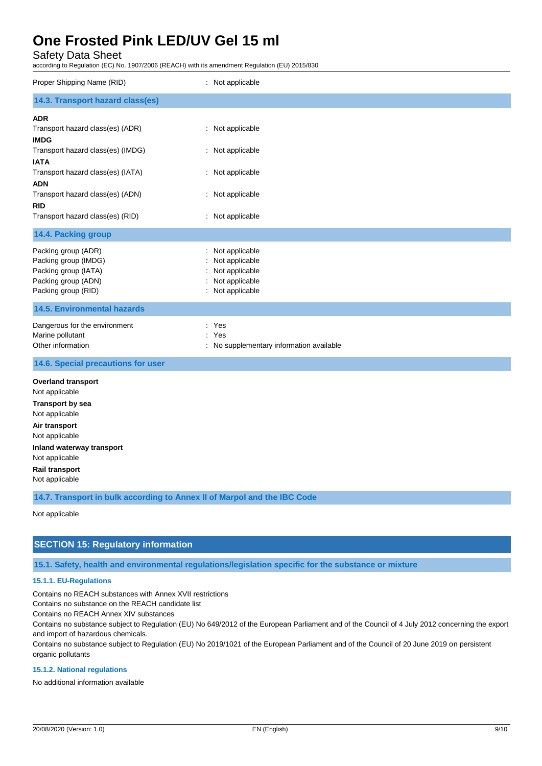Safety Data Sheet

according to Regulation (EC) No. 1907/2006 (REACH) with its amendment Regulation (EU) 2015/830

| Proper Shipping Name (RID)                                                                                                                                                                                                                                 | : Not applicable                                                                                 |  |
|------------------------------------------------------------------------------------------------------------------------------------------------------------------------------------------------------------------------------------------------------------|--------------------------------------------------------------------------------------------------|--|
| 14.3. Transport hazard class(es)                                                                                                                                                                                                                           |                                                                                                  |  |
| <b>ADR</b><br>Transport hazard class(es) (ADR)<br><b>IMDG</b><br>Transport hazard class(es) (IMDG)<br><b>IATA</b><br>Transport hazard class(es) (IATA)<br><b>ADN</b><br>Transport hazard class(es) (ADN)<br><b>RID</b><br>Transport hazard class(es) (RID) | : Not applicable<br>: Not applicable<br>: Not applicable<br>: Not applicable<br>: Not applicable |  |
| 14.4. Packing group                                                                                                                                                                                                                                        |                                                                                                  |  |
| Packing group (ADR)<br>Packing group (IMDG)<br>Packing group (IATA)<br>Packing group (ADN)<br>Packing group (RID)                                                                                                                                          | : Not applicable<br>Not applicable<br>Not applicable<br>Not applicable<br>: Not applicable       |  |
| <b>14.5. Environmental hazards</b>                                                                                                                                                                                                                         |                                                                                                  |  |
| Dangerous for the environment<br>Marine pollutant<br>Other information                                                                                                                                                                                     | ÷.<br>Yes<br>Yes<br>÷<br>: No supplementary information available                                |  |
| 14.6. Special precautions for user                                                                                                                                                                                                                         |                                                                                                  |  |
| <b>Overland transport</b><br>Not applicable<br><b>Transport by sea</b><br>Not applicable<br>Air transport<br>Not applicable<br>Inland waterway transport<br>Not applicable<br><b>Rail transport</b><br>Not applicable                                      |                                                                                                  |  |
| 14.7. Transport in bulk according to Annex II of Marpol and the IBC Code                                                                                                                                                                                   |                                                                                                  |  |
| Not applicable                                                                                                                                                                                                                                             |                                                                                                  |  |

## **SECTION 15: Regulatory information**

**15.1. Safety, health and environmental regulations/legislation specific for the substance or mixture**

### **15.1.1. EU-Regulations**

Contains no REACH substances with Annex XVII restrictions

Contains no substance on the REACH candidate list

Contains no REACH Annex XIV substances

Contains no substance subject to Regulation (EU) No 649/2012 of the European Parliament and of the Council of 4 July 2012 concerning the export and import of hazardous chemicals.

Contains no substance subject to Regulation (EU) No 2019/1021 of the European Parliament and of the Council of 20 June 2019 on persistent organic pollutants

#### **15.1.2. National regulations**

No additional information available